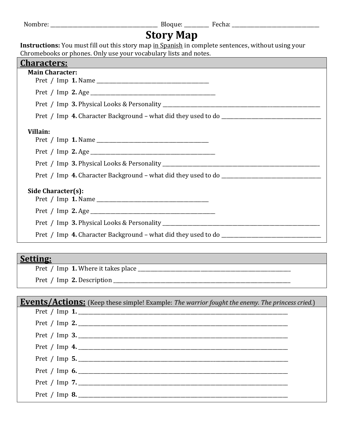|                                                                                                     | <b>Story Map</b> |  |
|-----------------------------------------------------------------------------------------------------|------------------|--|
| Instructions: You must fill out this story map in Spanish in complete sentences, without using your |                  |  |
| Chromebooks or phones. Only use your vocabulary lists and notes.                                    |                  |  |
| <b>Characters:</b>                                                                                  |                  |  |
| <b>Main Character:</b>                                                                              |                  |  |
|                                                                                                     |                  |  |
|                                                                                                     |                  |  |
|                                                                                                     |                  |  |
|                                                                                                     |                  |  |
| Villain:                                                                                            |                  |  |
|                                                                                                     |                  |  |
|                                                                                                     |                  |  |
|                                                                                                     |                  |  |
|                                                                                                     |                  |  |
| Side Character(s):                                                                                  |                  |  |
|                                                                                                     |                  |  |
|                                                                                                     |                  |  |
|                                                                                                     |                  |  |
|                                                                                                     |                  |  |

# **Setting:**

Pret / Imp **1.** Where it takes place \_\_\_\_\_\_\_\_\_\_\_\_\_\_\_\_\_\_\_\_\_\_\_\_\_\_\_\_\_\_\_\_\_\_\_\_\_\_\_\_\_\_\_\_\_\_\_\_\_\_\_\_\_\_\_\_\_\_\_\_\_

Pret / Imp **2.** Description \_\_\_\_\_\_\_\_\_\_\_\_\_\_\_\_\_\_\_\_\_\_\_\_\_\_\_\_\_\_\_\_\_\_\_\_\_\_\_\_\_\_\_\_\_\_\_\_\_\_\_\_\_\_\_\_\_\_\_\_\_\_\_\_\_\_\_\_\_\_\_

| <b>Events/Actions:</b> (Keep these simple! Example: The warrior fought the enemy. The princess cried.) |  |
|--------------------------------------------------------------------------------------------------------|--|
|                                                                                                        |  |
| Pret / Imp 2.                                                                                          |  |
| Pret / Imp 3.                                                                                          |  |
| Pret / Imp 4.                                                                                          |  |
| Pret / Imp 5.                                                                                          |  |
| Pret / Imp 6.                                                                                          |  |
|                                                                                                        |  |
| Pret / Imp 8.                                                                                          |  |